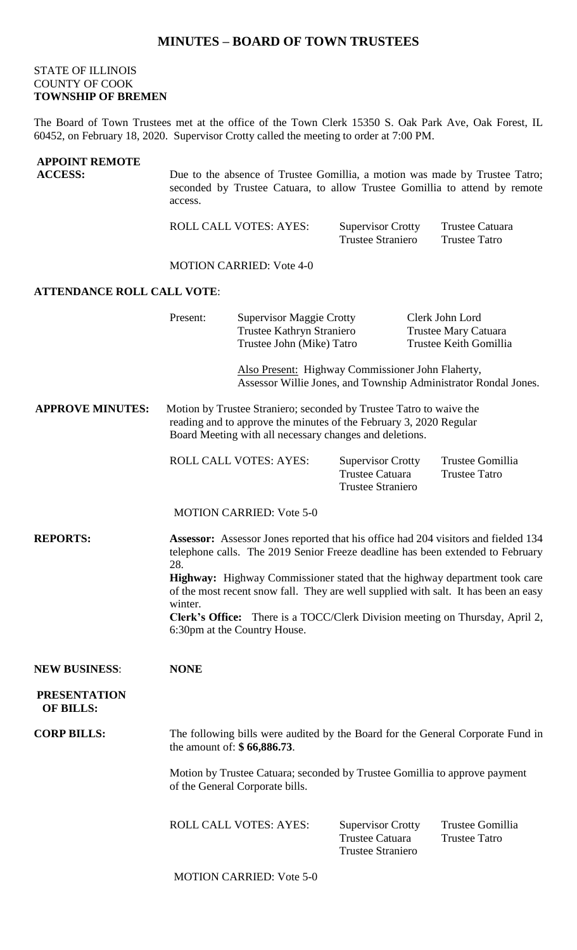## **MINUTES – BOARD OF TOWN TRUSTEES**

## STATE OF ILLINOIS COUNTY OF COOK **TOWNSHIP OF BREMEN**

The Board of Town Trustees met at the office of the Town Clerk 15350 S. Oak Park Ave, Oak Forest, IL 60452, on February 18, 2020. Supervisor Crotty called the meeting to order at 7:00 PM.

| <b>APPOINT REMOTE</b><br><b>ACCESS:</b> | Due to the absence of Trustee Gomillia, a motion was made by Trustee Tatro;<br>seconded by Trustee Catuara, to allow Trustee Gomillia to attend by remote<br>access.                                 |                                                                                           |                                                                                |                                                                   |  |
|-----------------------------------------|------------------------------------------------------------------------------------------------------------------------------------------------------------------------------------------------------|-------------------------------------------------------------------------------------------|--------------------------------------------------------------------------------|-------------------------------------------------------------------|--|
|                                         |                                                                                                                                                                                                      | <b>ROLL CALL VOTES: AYES:</b>                                                             | <b>Supervisor Crotty</b><br><b>Trustee Straniero</b>                           | Trustee Catuara<br><b>Trustee Tatro</b>                           |  |
|                                         | <b>MOTION CARRIED: Vote 4-0</b>                                                                                                                                                                      |                                                                                           |                                                                                |                                                                   |  |
| <b>ATTENDANCE ROLL CALL VOTE:</b>       |                                                                                                                                                                                                      |                                                                                           |                                                                                |                                                                   |  |
|                                         | Present:                                                                                                                                                                                             | <b>Supervisor Maggie Crotty</b><br>Trustee Kathryn Straniero<br>Trustee John (Mike) Tatro |                                                                                | Clerk John Lord<br>Trustee Mary Catuara<br>Trustee Keith Gomillia |  |
|                                         |                                                                                                                                                                                                      |                                                                                           | Also Present: Highway Commissioner John Flaherty,                              | Assessor Willie Jones, and Township Administrator Rondal Jones.   |  |
| <b>APPROVE MINUTES:</b>                 | Motion by Trustee Straniero; seconded by Trustee Tatro to waive the<br>reading and to approve the minutes of the February 3, 2020 Regular<br>Board Meeting with all necessary changes and deletions. |                                                                                           |                                                                                |                                                                   |  |
|                                         |                                                                                                                                                                                                      | ROLL CALL VOTES: AYES:                                                                    | <b>Supervisor Crotty</b><br><b>Trustee Catuara</b><br><b>Trustee Straniero</b> | Trustee Gomillia<br><b>Trustee Tatro</b>                          |  |
|                                         | <b>MOTION CARRIED: Vote 5-0</b>                                                                                                                                                                      |                                                                                           |                                                                                |                                                                   |  |
| <b>REPORTS:</b>                         | Assessor: Assessor Jones reported that his office had 204 visitors and fielded 134<br>telephone calls. The 2019 Senior Freeze deadline has been extended to February<br>28.                          |                                                                                           |                                                                                |                                                                   |  |
|                                         | Highway: Highway Commissioner stated that the highway department took care<br>of the most recent snow fall. They are well supplied with salt. It has been an easy<br>winter.                         |                                                                                           |                                                                                |                                                                   |  |
|                                         | Clerk's Office: There is a TOCC/Clerk Division meeting on Thursday, April 2,<br>6:30pm at the Country House.                                                                                         |                                                                                           |                                                                                |                                                                   |  |
| <b>NEW BUSINESS:</b>                    | <b>NONE</b>                                                                                                                                                                                          |                                                                                           |                                                                                |                                                                   |  |
| <b>PRESENTATION</b><br><b>OF BILLS:</b> |                                                                                                                                                                                                      |                                                                                           |                                                                                |                                                                   |  |
| <b>CORP BILLS:</b>                      | The following bills were audited by the Board for the General Corporate Fund in<br>the amount of: \$66,886.73.                                                                                       |                                                                                           |                                                                                |                                                                   |  |
|                                         | Motion by Trustee Catuara; seconded by Trustee Gomillia to approve payment<br>of the General Corporate bills.                                                                                        |                                                                                           |                                                                                |                                                                   |  |
|                                         |                                                                                                                                                                                                      | <b>ROLL CALL VOTES: AYES:</b>                                                             | <b>Supervisor Crotty</b><br>Trustee Catuara<br><b>Trustee Straniero</b>        | Trustee Gomillia<br><b>Trustee Tatro</b>                          |  |
|                                         | <b>MOTION CARRIED: Vote 5-0</b>                                                                                                                                                                      |                                                                                           |                                                                                |                                                                   |  |